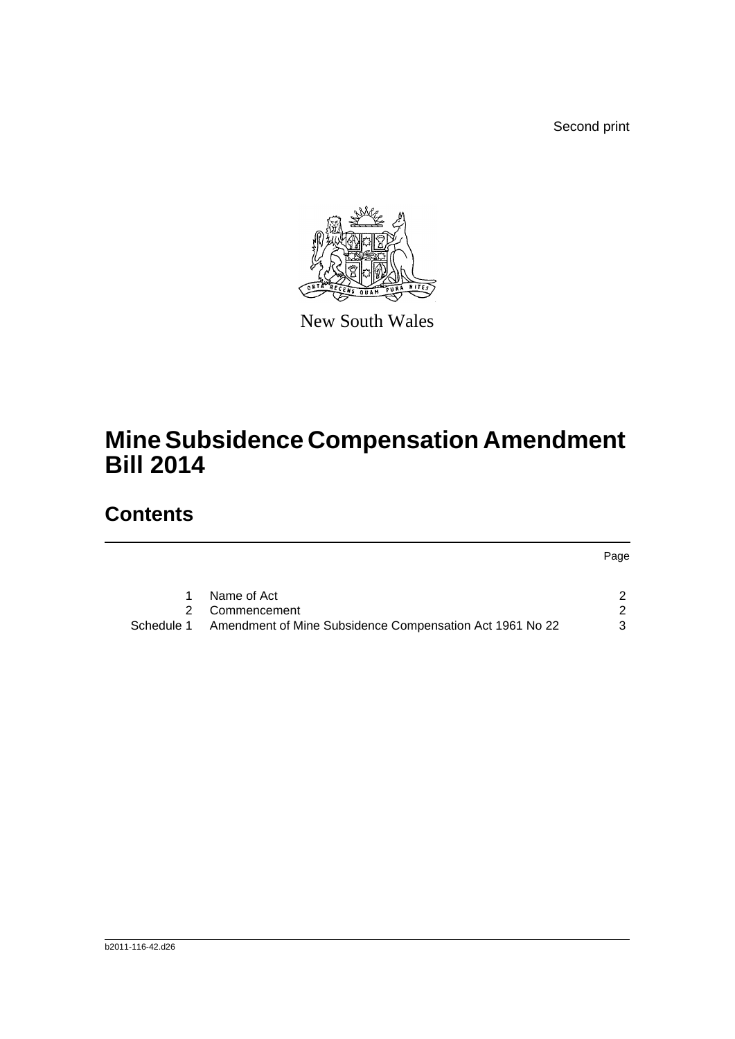Second print



New South Wales

## **Mine Subsidence Compensation Amendment Bill 2014**

## **Contents**

Page

|            | Name of Act                                              |  |
|------------|----------------------------------------------------------|--|
|            | 2 Commencement                                           |  |
| Schedule 1 | Amendment of Mine Subsidence Compensation Act 1961 No 22 |  |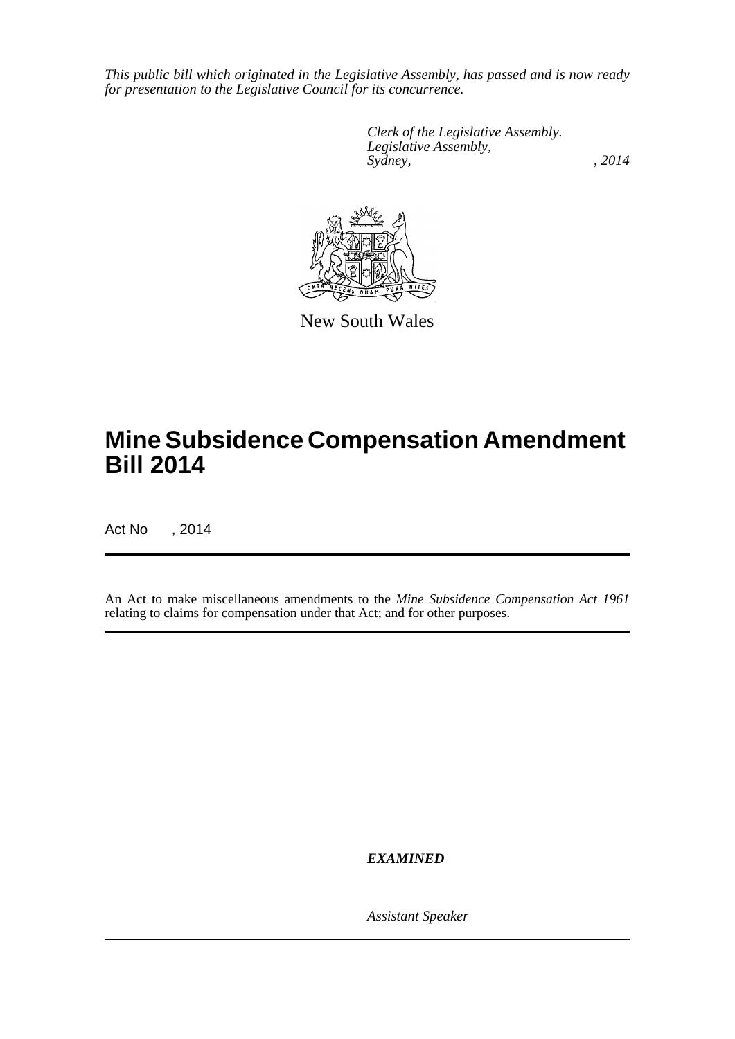*This public bill which originated in the Legislative Assembly, has passed and is now ready for presentation to the Legislative Council for its concurrence.*

> *Clerk of the Legislative Assembly. Legislative Assembly, Sydney,* , 2014



New South Wales

## **Mine Subsidence Compensation Amendment Bill 2014**

Act No , 2014

An Act to make miscellaneous amendments to the *Mine Subsidence Compensation Act 1961* relating to claims for compensation under that Act; and for other purposes.

*EXAMINED*

*Assistant Speaker*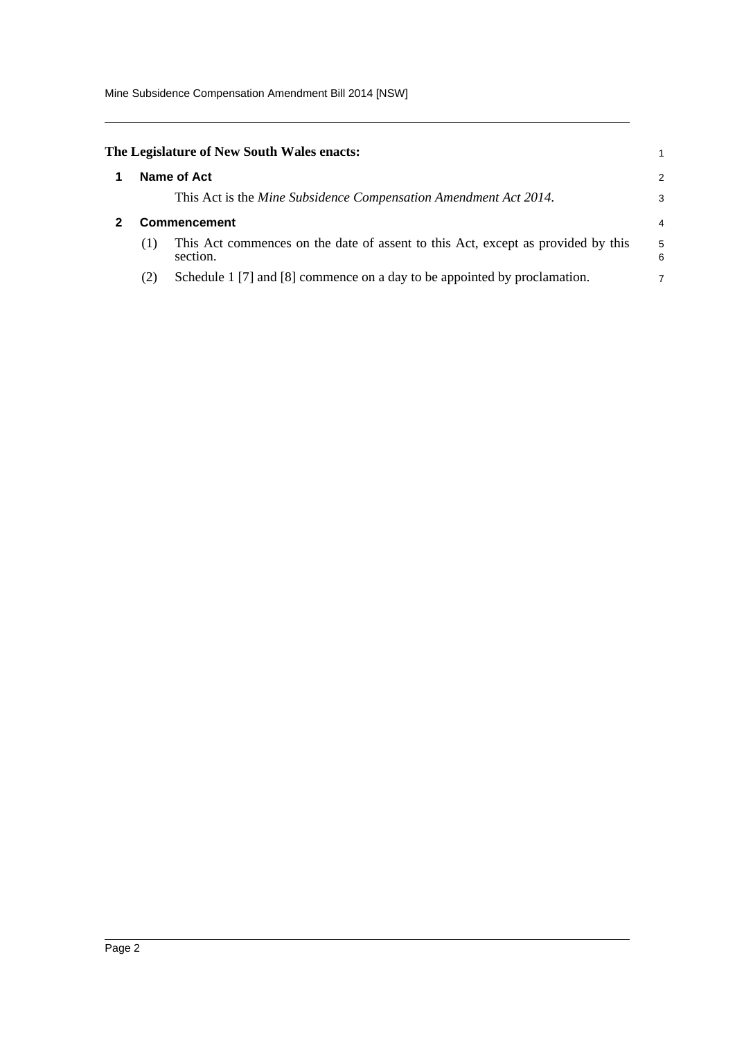Mine Subsidence Compensation Amendment Bill 2014 [NSW]

<span id="page-2-1"></span><span id="page-2-0"></span>

|                     | The Legislature of New South Wales enacts:                                                   | 1      |  |  |  |
|---------------------|----------------------------------------------------------------------------------------------|--------|--|--|--|
| Name of Act         |                                                                                              |        |  |  |  |
|                     | This Act is the Mine Subsidence Compensation Amendment Act 2014.                             | 3      |  |  |  |
| <b>Commencement</b> |                                                                                              |        |  |  |  |
| (1)                 | This Act commences on the date of assent to this Act, except as provided by this<br>section. | 5<br>6 |  |  |  |
| (2)                 | Schedule 1 [7] and [8] commence on a day to be appointed by proclamation.                    | 7      |  |  |  |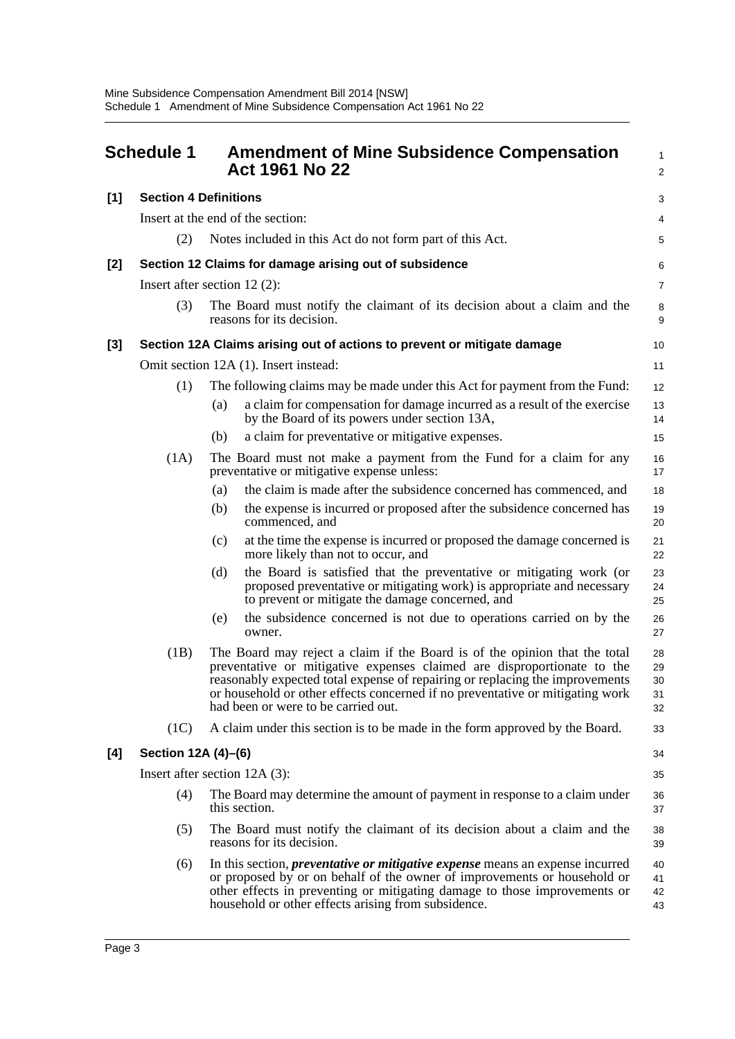<span id="page-3-0"></span>

| <b>Schedule 1</b> |                                                                                                              |     | <b>Amendment of Mine Subsidence Compensation</b><br>Act 1961 No 22                                                                                                                                                                                                                                                                                            |                            |  |  |  |
|-------------------|--------------------------------------------------------------------------------------------------------------|-----|---------------------------------------------------------------------------------------------------------------------------------------------------------------------------------------------------------------------------------------------------------------------------------------------------------------------------------------------------------------|----------------------------|--|--|--|
| $[1]$             | <b>Section 4 Definitions</b>                                                                                 |     |                                                                                                                                                                                                                                                                                                                                                               | 3                          |  |  |  |
|                   |                                                                                                              |     | Insert at the end of the section:                                                                                                                                                                                                                                                                                                                             | 4                          |  |  |  |
|                   | (2)                                                                                                          |     | Notes included in this Act do not form part of this Act.                                                                                                                                                                                                                                                                                                      | 5                          |  |  |  |
| $[2]$             |                                                                                                              |     | Section 12 Claims for damage arising out of subsidence                                                                                                                                                                                                                                                                                                        | 6                          |  |  |  |
|                   | Insert after section $12(2)$ :                                                                               |     |                                                                                                                                                                                                                                                                                                                                                               | $\overline{7}$             |  |  |  |
|                   | The Board must notify the claimant of its decision about a claim and the<br>(3)<br>reasons for its decision. |     |                                                                                                                                                                                                                                                                                                                                                               |                            |  |  |  |
| [3]               |                                                                                                              |     | Section 12A Claims arising out of actions to prevent or mitigate damage                                                                                                                                                                                                                                                                                       | 10                         |  |  |  |
|                   |                                                                                                              |     | Omit section 12A (1). Insert instead:                                                                                                                                                                                                                                                                                                                         | 11                         |  |  |  |
|                   | (1)                                                                                                          |     | The following claims may be made under this Act for payment from the Fund:                                                                                                                                                                                                                                                                                    | 12                         |  |  |  |
|                   |                                                                                                              | (a) | a claim for compensation for damage incurred as a result of the exercise<br>by the Board of its powers under section 13A,                                                                                                                                                                                                                                     | 13<br>14                   |  |  |  |
|                   |                                                                                                              | (b) | a claim for preventative or mitigative expenses.                                                                                                                                                                                                                                                                                                              | 15                         |  |  |  |
|                   | (1A)                                                                                                         |     | The Board must not make a payment from the Fund for a claim for any<br>preventative or mitigative expense unless:                                                                                                                                                                                                                                             | 16<br>17                   |  |  |  |
|                   |                                                                                                              | (a) | the claim is made after the subsidence concerned has commenced, and                                                                                                                                                                                                                                                                                           | 18                         |  |  |  |
|                   |                                                                                                              | (b) | the expense is incurred or proposed after the subsidence concerned has<br>commenced, and                                                                                                                                                                                                                                                                      | 19<br>20                   |  |  |  |
|                   |                                                                                                              | (c) | at the time the expense is incurred or proposed the damage concerned is<br>more likely than not to occur, and                                                                                                                                                                                                                                                 | 21<br>22                   |  |  |  |
|                   |                                                                                                              | (d) | the Board is satisfied that the preventative or mitigating work (or<br>proposed preventative or mitigating work) is appropriate and necessary<br>to prevent or mitigate the damage concerned, and                                                                                                                                                             | 23<br>24<br>25             |  |  |  |
|                   |                                                                                                              | (e) | the subsidence concerned is not due to operations carried on by the<br>owner.                                                                                                                                                                                                                                                                                 | 26<br>27                   |  |  |  |
|                   | (1B)                                                                                                         |     | The Board may reject a claim if the Board is of the opinion that the total<br>preventative or mitigative expenses claimed are disproportionate to the<br>reasonably expected total expense of repairing or replacing the improvements<br>or household or other effects concerned if no preventative or mitigating work<br>had been or were to be carried out. | 28<br>29<br>30<br>31<br>32 |  |  |  |
|                   | (1C)                                                                                                         |     | A claim under this section is to be made in the form approved by the Board.                                                                                                                                                                                                                                                                                   | 33                         |  |  |  |
| [4]               | Section 12A (4)-(6)                                                                                          |     |                                                                                                                                                                                                                                                                                                                                                               | 34                         |  |  |  |
|                   | Insert after section $12A(3)$ :                                                                              |     |                                                                                                                                                                                                                                                                                                                                                               |                            |  |  |  |
|                   | (4)                                                                                                          |     | The Board may determine the amount of payment in response to a claim under<br>this section.                                                                                                                                                                                                                                                                   | 36<br>37                   |  |  |  |
|                   | (5)                                                                                                          |     | The Board must notify the claimant of its decision about a claim and the<br>reasons for its decision.                                                                                                                                                                                                                                                         | 38<br>39                   |  |  |  |
|                   | (6)                                                                                                          |     | In this section, <i>preventative or mitigative expense</i> means an expense incurred<br>or proposed by or on behalf of the owner of improvements or household or<br>other effects in preventing or mitigating damage to those improvements or<br>household or other effects arising from subsidence.                                                          | 40<br>41<br>42<br>43       |  |  |  |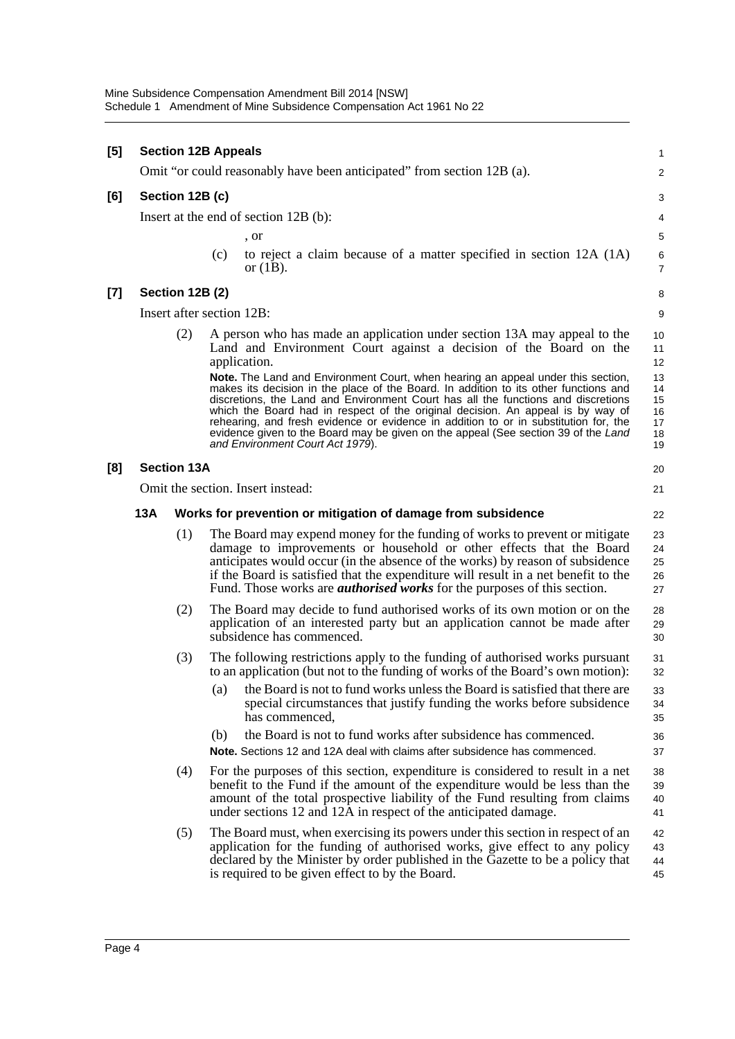| $[5] % \includegraphics[width=0.9\columnwidth]{figures/fig_10.pdf} \caption{The figure shows the number of times, and the number of times, and the number of times, respectively.} \label{fig:fig:time}$ |     | <b>Section 12B Appeals</b> |     |                                                                                                                                                                                                                                                                                                                                                                                                                                                                                | $\mathbf{1}$                     |
|----------------------------------------------------------------------------------------------------------------------------------------------------------------------------------------------------------|-----|----------------------------|-----|--------------------------------------------------------------------------------------------------------------------------------------------------------------------------------------------------------------------------------------------------------------------------------------------------------------------------------------------------------------------------------------------------------------------------------------------------------------------------------|----------------------------------|
|                                                                                                                                                                                                          |     |                            |     | Omit "or could reasonably have been anticipated" from section 12B (a).                                                                                                                                                                                                                                                                                                                                                                                                         | $\overline{c}$                   |
| [6]                                                                                                                                                                                                      |     | Section 12B (c)            |     |                                                                                                                                                                                                                                                                                                                                                                                                                                                                                | 3                                |
|                                                                                                                                                                                                          |     |                            |     | Insert at the end of section 12B (b):                                                                                                                                                                                                                                                                                                                                                                                                                                          | 4                                |
|                                                                                                                                                                                                          |     |                            |     | , or                                                                                                                                                                                                                                                                                                                                                                                                                                                                           | 5                                |
|                                                                                                                                                                                                          |     |                            | (c) | to reject a claim because of a matter specified in section 12A (1A)<br>or $(1B)$ .                                                                                                                                                                                                                                                                                                                                                                                             | 6<br>7                           |
| $\left[ 7\right]$                                                                                                                                                                                        |     | Section 12B (2)            |     |                                                                                                                                                                                                                                                                                                                                                                                                                                                                                | 8                                |
|                                                                                                                                                                                                          |     | Insert after section 12B:  |     |                                                                                                                                                                                                                                                                                                                                                                                                                                                                                | 9                                |
|                                                                                                                                                                                                          |     | (2)                        |     | A person who has made an application under section 13A may appeal to the<br>Land and Environment Court against a decision of the Board on the<br>application.<br>Note. The Land and Environment Court, when hearing an appeal under this section,                                                                                                                                                                                                                              | 10<br>11<br>12<br>13             |
|                                                                                                                                                                                                          |     |                            |     | makes its decision in the place of the Board. In addition to its other functions and<br>discretions, the Land and Environment Court has all the functions and discretions<br>which the Board had in respect of the original decision. An appeal is by way of<br>rehearing, and fresh evidence or evidence in addition to or in substitution for, the<br>evidence given to the Board may be given on the appeal (See section 39 of the Land<br>and Environment Court Act 1979). | 14<br>15<br>16<br>17<br>18<br>19 |
| [8]                                                                                                                                                                                                      |     | <b>Section 13A</b>         |     |                                                                                                                                                                                                                                                                                                                                                                                                                                                                                | 20                               |
|                                                                                                                                                                                                          |     |                            |     | Omit the section. Insert instead:                                                                                                                                                                                                                                                                                                                                                                                                                                              | 21                               |
|                                                                                                                                                                                                          | 13A |                            |     | Works for prevention or mitigation of damage from subsidence                                                                                                                                                                                                                                                                                                                                                                                                                   | 22                               |
|                                                                                                                                                                                                          |     | (1)                        |     | The Board may expend money for the funding of works to prevent or mitigate<br>damage to improvements or household or other effects that the Board<br>anticipates would occur (in the absence of the works) by reason of subsidence<br>if the Board is satisfied that the expenditure will result in a net benefit to the<br>Fund. Those works are <i>authorised works</i> for the purposes of this section.                                                                    | 23<br>24<br>25<br>26<br>27       |
|                                                                                                                                                                                                          |     | (2)                        |     | The Board may decide to fund authorised works of its own motion or on the<br>application of an interested party but an application cannot be made after<br>subsidence has commenced.                                                                                                                                                                                                                                                                                           | 28<br>29<br>30                   |
|                                                                                                                                                                                                          |     | (3)                        |     | The following restrictions apply to the funding of authorised works pursuant<br>to an application (but not to the funding of works of the Board's own motion):                                                                                                                                                                                                                                                                                                                 | 31<br>32                         |
|                                                                                                                                                                                                          |     |                            | (a) | the Board is not to fund works unless the Board is satisfied that there are<br>special circumstances that justify funding the works before subsidence<br>has commenced,                                                                                                                                                                                                                                                                                                        | 33<br>34<br>35                   |
|                                                                                                                                                                                                          |     |                            | (b) | the Board is not to fund works after subsidence has commenced.<br>Note. Sections 12 and 12A deal with claims after subsidence has commenced.                                                                                                                                                                                                                                                                                                                                   | 36<br>37                         |
|                                                                                                                                                                                                          |     | (4)                        |     | For the purposes of this section, expenditure is considered to result in a net<br>benefit to the Fund if the amount of the expenditure would be less than the<br>amount of the total prospective liability of the Fund resulting from claims<br>under sections 12 and 12A in respect of the anticipated damage.                                                                                                                                                                | 38<br>39<br>40<br>41             |
|                                                                                                                                                                                                          |     | (5)                        |     | The Board must, when exercising its powers under this section in respect of an<br>application for the funding of authorised works, give effect to any policy<br>declared by the Minister by order published in the Gazette to be a policy that<br>is required to be given effect to by the Board.                                                                                                                                                                              | 42<br>43<br>44<br>45             |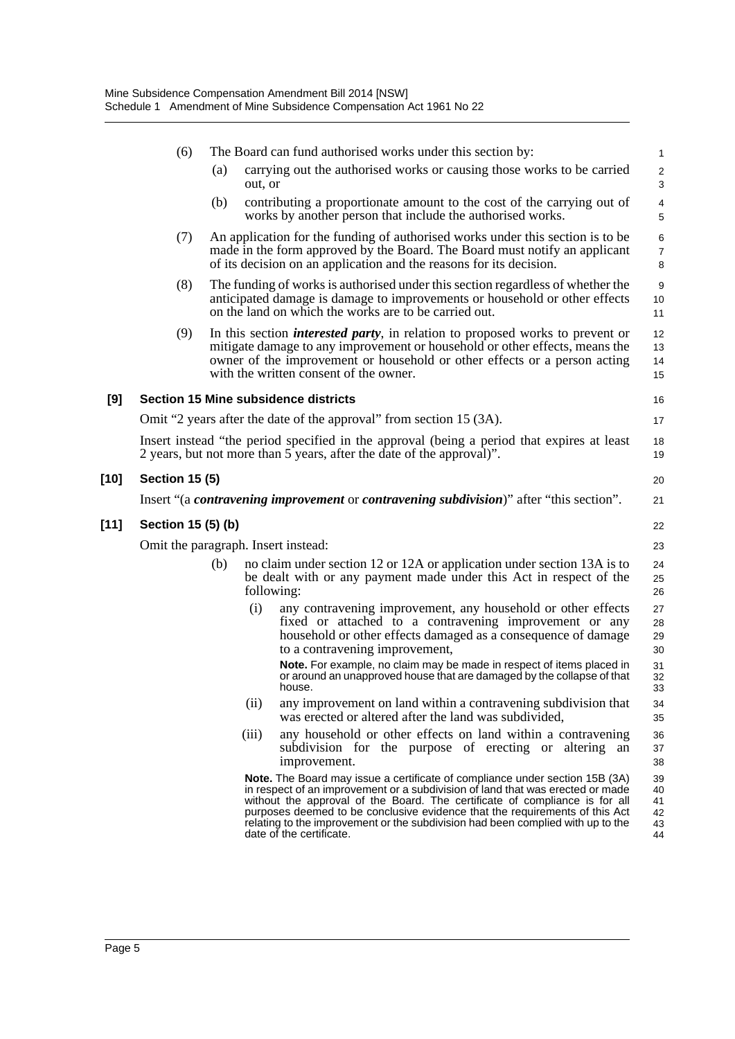|        | (6)                                 |     |         | The Board can fund authorised works under this section by:                                                                                                                                                                                                                                                                                                                                                                                  | $\mathbf{1}$                     |  |  |
|--------|-------------------------------------|-----|---------|---------------------------------------------------------------------------------------------------------------------------------------------------------------------------------------------------------------------------------------------------------------------------------------------------------------------------------------------------------------------------------------------------------------------------------------------|----------------------------------|--|--|
|        |                                     | (a) | out, or | carrying out the authorised works or causing those works to be carried                                                                                                                                                                                                                                                                                                                                                                      | $\sqrt{2}$<br>3                  |  |  |
|        |                                     | (b) |         | contributing a proportionate amount to the cost of the carrying out of<br>works by another person that include the authorised works.                                                                                                                                                                                                                                                                                                        | 4<br>5                           |  |  |
|        | (7)                                 |     |         | An application for the funding of authorised works under this section is to be<br>made in the form approved by the Board. The Board must notify an applicant<br>of its decision on an application and the reasons for its decision.                                                                                                                                                                                                         | $\,6$<br>$\boldsymbol{7}$<br>8   |  |  |
|        | (8)                                 |     |         | The funding of works is authorised under this section regardless of whether the<br>anticipated damage is damage to improvements or household or other effects<br>on the land on which the works are to be carried out.                                                                                                                                                                                                                      | 9<br>10<br>11                    |  |  |
|        | (9)                                 |     |         | In this section <i>interested party</i> , in relation to proposed works to prevent or<br>mitigate damage to any improvement or household or other effects, means the<br>owner of the improvement or household or other effects or a person acting<br>with the written consent of the owner.                                                                                                                                                 | 12<br>13<br>14<br>15             |  |  |
| [9]    |                                     |     |         | <b>Section 15 Mine subsidence districts</b>                                                                                                                                                                                                                                                                                                                                                                                                 | 16                               |  |  |
|        |                                     |     |         | Omit "2 years after the date of the approval" from section 15 (3A).                                                                                                                                                                                                                                                                                                                                                                         | 17                               |  |  |
|        |                                     |     |         | Insert instead "the period specified in the approval (being a period that expires at least<br>2 years, but not more than 5 years, after the date of the approval)".                                                                                                                                                                                                                                                                         | 18<br>19                         |  |  |
| $[10]$ | <b>Section 15 (5)</b>               |     |         |                                                                                                                                                                                                                                                                                                                                                                                                                                             | 20                               |  |  |
|        |                                     |     |         | Insert "(a contravening improvement or contravening subdivision)" after "this section".                                                                                                                                                                                                                                                                                                                                                     | 21                               |  |  |
| $[11]$ | Section 15 (5) (b)                  |     |         |                                                                                                                                                                                                                                                                                                                                                                                                                                             | 22                               |  |  |
|        | Omit the paragraph. Insert instead: |     |         |                                                                                                                                                                                                                                                                                                                                                                                                                                             |                                  |  |  |
|        |                                     | (b) |         | no claim under section 12 or 12A or application under section 13A is to<br>be dealt with or any payment made under this Act in respect of the<br>following:                                                                                                                                                                                                                                                                                 | 24<br>25<br>26                   |  |  |
|        |                                     |     | (i)     | any contravening improvement, any household or other effects<br>fixed or attached to a contravening improvement or any<br>household or other effects damaged as a consequence of damage<br>to a contravening improvement,                                                                                                                                                                                                                   | 27<br>28<br>29<br>30             |  |  |
|        |                                     |     |         | Note. For example, no claim may be made in respect of items placed in<br>or around an unapproved house that are damaged by the collapse of that<br>house.                                                                                                                                                                                                                                                                                   | 31<br>32<br>33                   |  |  |
|        |                                     |     | (ii)    | any improvement on land within a contravening subdivision that<br>was erected or altered after the land was subdivided,                                                                                                                                                                                                                                                                                                                     | 34<br>35                         |  |  |
|        |                                     |     | (iii)   | any household or other effects on land within a contravening<br>subdivision for the purpose of erecting or altering an<br>improvement.                                                                                                                                                                                                                                                                                                      | 36<br>37<br>38                   |  |  |
|        |                                     |     |         | Note. The Board may issue a certificate of compliance under section 15B (3A)<br>in respect of an improvement or a subdivision of land that was erected or made<br>without the approval of the Board. The certificate of compliance is for all<br>purposes deemed to be conclusive evidence that the requirements of this Act<br>relating to the improvement or the subdivision had been complied with up to the<br>date of the certificate. | 39<br>40<br>41<br>42<br>43<br>44 |  |  |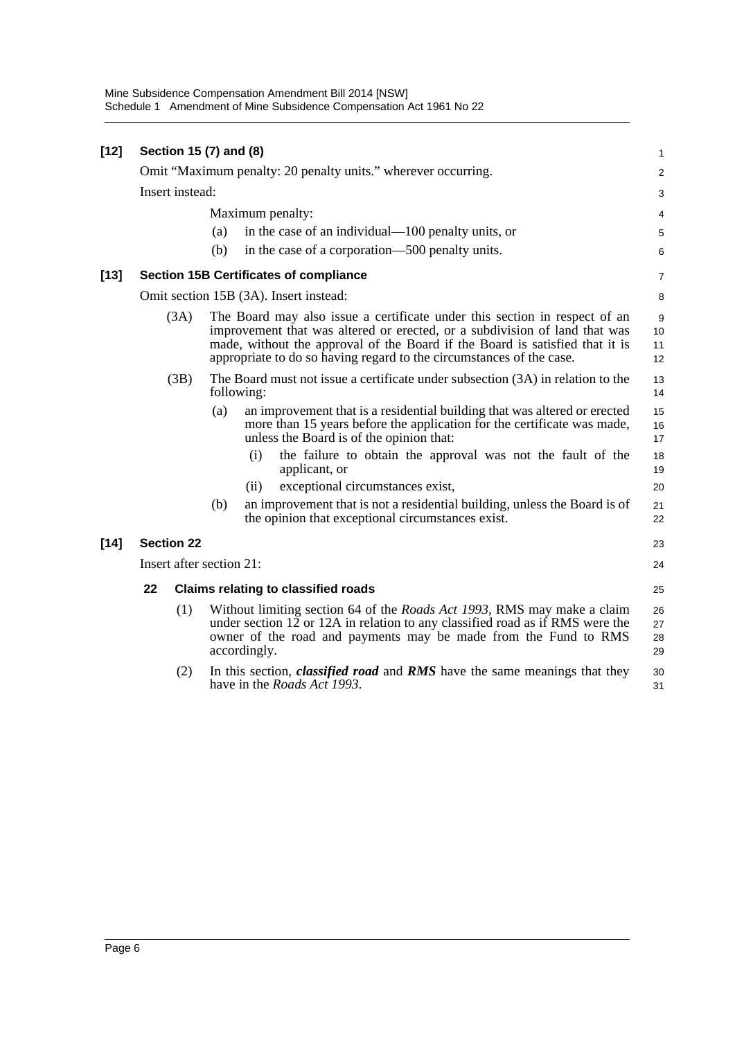| $[12]$ |                 | Section 15 (7) and (8)   |                                                                                                                                                                                                                                                                                                                  |                                                                                                                                                                                                                                                     | $\mathbf{1}$         |  |  |  |
|--------|-----------------|--------------------------|------------------------------------------------------------------------------------------------------------------------------------------------------------------------------------------------------------------------------------------------------------------------------------------------------------------|-----------------------------------------------------------------------------------------------------------------------------------------------------------------------------------------------------------------------------------------------------|----------------------|--|--|--|
|        |                 |                          |                                                                                                                                                                                                                                                                                                                  | Omit "Maximum penalty: 20 penalty units." wherever occurring.                                                                                                                                                                                       | 2                    |  |  |  |
|        | Insert instead: |                          |                                                                                                                                                                                                                                                                                                                  |                                                                                                                                                                                                                                                     |                      |  |  |  |
|        |                 | Maximum penalty:         |                                                                                                                                                                                                                                                                                                                  |                                                                                                                                                                                                                                                     |                      |  |  |  |
|        |                 |                          | (a)                                                                                                                                                                                                                                                                                                              | in the case of an individual—100 penalty units, or                                                                                                                                                                                                  | 4<br>5               |  |  |  |
|        |                 |                          | (b)                                                                                                                                                                                                                                                                                                              | in the case of a corporation—500 penalty units.                                                                                                                                                                                                     | 6                    |  |  |  |
| $[13]$ |                 |                          |                                                                                                                                                                                                                                                                                                                  | <b>Section 15B Certificates of compliance</b>                                                                                                                                                                                                       | $\boldsymbol{7}$     |  |  |  |
|        |                 |                          |                                                                                                                                                                                                                                                                                                                  | Omit section 15B (3A). Insert instead:                                                                                                                                                                                                              | 8                    |  |  |  |
|        |                 | (3A)                     | The Board may also issue a certificate under this section in respect of an<br>improvement that was altered or erected, or a subdivision of land that was<br>made, without the approval of the Board if the Board is satisfied that it is<br>appropriate to do so having regard to the circumstances of the case. |                                                                                                                                                                                                                                                     |                      |  |  |  |
|        |                 | (3B)                     |                                                                                                                                                                                                                                                                                                                  | The Board must not issue a certificate under subsection (3A) in relation to the<br>following:                                                                                                                                                       | 13<br>14             |  |  |  |
|        |                 |                          | (a)                                                                                                                                                                                                                                                                                                              | an improvement that is a residential building that was altered or erected<br>more than 15 years before the application for the certificate was made,<br>unless the Board is of the opinion that:                                                    | 15<br>16<br>17       |  |  |  |
|        |                 |                          |                                                                                                                                                                                                                                                                                                                  | (i)<br>the failure to obtain the approval was not the fault of the<br>applicant, or                                                                                                                                                                 | 18<br>19             |  |  |  |
|        |                 |                          |                                                                                                                                                                                                                                                                                                                  | exceptional circumstances exist,<br>(ii)                                                                                                                                                                                                            | 20                   |  |  |  |
|        |                 |                          | (b)                                                                                                                                                                                                                                                                                                              | an improvement that is not a residential building, unless the Board is of<br>the opinion that exceptional circumstances exist.                                                                                                                      | 21<br>22             |  |  |  |
| $[14]$ |                 | <b>Section 22</b>        |                                                                                                                                                                                                                                                                                                                  |                                                                                                                                                                                                                                                     | 23                   |  |  |  |
|        |                 | Insert after section 21: |                                                                                                                                                                                                                                                                                                                  |                                                                                                                                                                                                                                                     | 24                   |  |  |  |
|        | 22              |                          |                                                                                                                                                                                                                                                                                                                  | <b>Claims relating to classified roads</b>                                                                                                                                                                                                          | 25                   |  |  |  |
|        |                 | (1)                      |                                                                                                                                                                                                                                                                                                                  | Without limiting section 64 of the <i>Roads Act 1993</i> , RMS may make a claim<br>under section 12 or 12A in relation to any classified road as if RMS were the<br>owner of the road and payments may be made from the Fund to RMS<br>accordingly. | 26<br>27<br>28<br>29 |  |  |  |
|        |                 | (2)                      |                                                                                                                                                                                                                                                                                                                  | In this section, <i>classified road</i> and RMS have the same meanings that they<br>have in the <i>Roads Act 1993</i> .                                                                                                                             | 30<br>31             |  |  |  |
|        |                 |                          |                                                                                                                                                                                                                                                                                                                  |                                                                                                                                                                                                                                                     |                      |  |  |  |